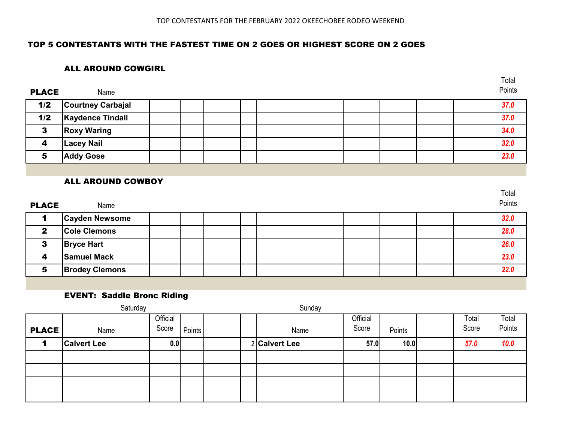Total

#### TOP 5 CONTESTANTS WITH THE FASTEST TIME ON 2 GOES OR HIGHEST SCORE ON 2 GOES

#### ALL AROUND COWGIRL

| <b>PLACE</b> | Name                     |  |  |  |  | Points |
|--------------|--------------------------|--|--|--|--|--------|
| 1/2          | <b>Courtney Carbajal</b> |  |  |  |  | 37.0   |
| 1/2          | <b>Kaydence Tindall</b>  |  |  |  |  | 37.0   |
| 3            | <b>Roxy Waring</b>       |  |  |  |  | 34.0   |
| 4            | <b>Lacey Nail</b>        |  |  |  |  | 32.0   |
| 5            | <b>Addy Gose</b>         |  |  |  |  | 23.0   |

#### ALL AROUND COWBOY

| <b>PLACE</b> | Name                  |  |  |  |  | Total<br>Points |
|--------------|-----------------------|--|--|--|--|-----------------|
|              | <b>Cayden Newsome</b> |  |  |  |  | 32.0            |
| $\mathbf{2}$ | <b>Cole Clemons</b>   |  |  |  |  | 28.0            |
| 3            | <b>Bryce Hart</b>     |  |  |  |  | 26.0            |
| 4            | <b>Samuel Mack</b>    |  |  |  |  | 23.0            |
| 5            | <b>Brodey Clemons</b> |  |  |  |  | 22.0            |

#### EVENT: Saddle Bronc Riding

|              | Saturday           |                   |        |  | Sunday        |                   |        |                |                 |
|--------------|--------------------|-------------------|--------|--|---------------|-------------------|--------|----------------|-----------------|
| <b>PLACE</b> | Name               | Official<br>Score | Points |  | Name          | Official<br>Score | Points | Total<br>Score | Total<br>Points |
|              | <b>Calvert Lee</b> | 0.0               |        |  | 2 Calvert Lee | 57.0              | 10.0   | 57.0           | 10.0            |
|              |                    |                   |        |  |               |                   |        |                |                 |
|              |                    |                   |        |  |               |                   |        |                |                 |
|              |                    |                   |        |  |               |                   |        |                |                 |
|              |                    |                   |        |  |               |                   |        |                |                 |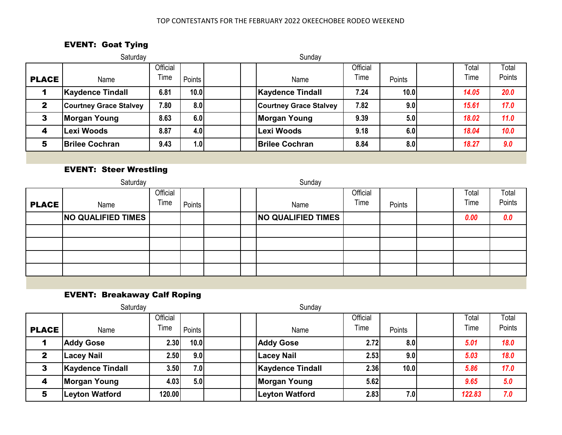#### TOP CONTESTANTS FOR THE FEBRUARY 2022 OKEECHOBEE RODEO WEEKEND

# EVENT: Goat Tying

|              | Saturday                      |                  |        | Sunday                        |                  |                  |               |                 |
|--------------|-------------------------------|------------------|--------|-------------------------------|------------------|------------------|---------------|-----------------|
| <b>PLACE</b> | Name                          | Official<br>Time | Points | Name                          | Official<br>Time | Points           | Total<br>Time | Total<br>Points |
|              | <b>Kaydence Tindall</b>       | 6.81             | 10.0   | <b>Kaydence Tindall</b>       | 7.24             | 10.0             | 14.05         | 20.0            |
| $\mathbf{2}$ | <b>Courtney Grace Stalvey</b> | 7.80             | 8.0    | <b>Courtney Grace Stalvey</b> | 7.82             | 9.0 <sub>l</sub> | 15.61         | 17.0            |
| 3            | Morgan Young                  | 8.63             | 6.0    | <b>Morgan Young</b>           | 9.39             | 5.0              | 18.02         | 11.0            |
| 4            | Lexi Woods                    | 8.87             | 4.0    | Lexi Woods                    | 9.18             | 6.0              | 18.04         | 10.0            |
| 5            | <b>Brilee Cochran</b>         | 9.43             | 1.0    | <b>Brilee Cochran</b>         | 8.84             | 8.0 <sub>1</sub> | 18.27         | 9.0             |

### EVENT: Steer Wrestling

|              | Saturday                  |                  |        |  | Sunday                    |                  |        |               |                 |
|--------------|---------------------------|------------------|--------|--|---------------------------|------------------|--------|---------------|-----------------|
| <b>PLACE</b> | Name                      | Official<br>Time | Points |  | Name                      | Official<br>Time | Points | Total<br>Time | Total<br>Points |
|              | <b>NO QUALIFIED TIMES</b> |                  |        |  | <b>NO QUALIFIED TIMES</b> |                  |        | 0.00          | 0.0             |
|              |                           |                  |        |  |                           |                  |        |               |                 |
|              |                           |                  |        |  |                           |                  |        |               |                 |
|              |                           |                  |        |  |                           |                  |        |               |                 |
|              |                           |                  |        |  |                           |                  |        |               |                 |

EVENT: Breakaway Calf Roping

|                  | Saturday                |                  |        | Sunday                  |                  |        |               |                 |
|------------------|-------------------------|------------------|--------|-------------------------|------------------|--------|---------------|-----------------|
| <b>PLACE</b>     | Name                    | Official<br>Time | Points | Name                    | Official<br>Time | Points | Total<br>Time | Total<br>Points |
|                  | <b>Addy Gose</b>        | 2.30             | 10.0   | <b>Addy Gose</b>        | 2.72             | 8.0    | 5.01          | 18.0            |
| $\mathbf{2}$     | <b>Lacey Nail</b>       | 2.50             | 9.0    | <b>Lacey Nail</b>       | 2.53             | 9.0    | 5.03          | 18.0            |
| 3                | <b>Kaydence Tindall</b> | 3.50             | 7.0    | <b>Kaydence Tindall</b> | 2.36             | 10.0   | 5.86          | 17.0            |
| $\boldsymbol{4}$ | <b>Morgan Young</b>     | 4.03             | 5.0    | <b>Morgan Young</b>     | 5.62             |        | 9.65          | 5.0             |
| 5                | <b>Leyton Watford</b>   | 120.00           |        | <b>Leyton Watford</b>   | 2.83             | 7.0    | 122.83        | 7.0             |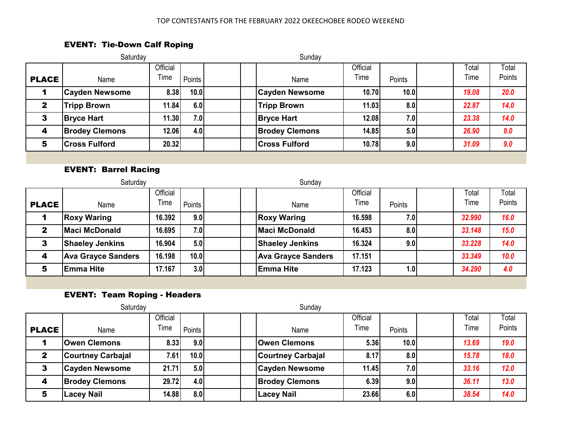### EVENT: Tie-Down Calf Roping

|                  | Saturday              |                  |        | Sunday                |                  |                  |               |                 |
|------------------|-----------------------|------------------|--------|-----------------------|------------------|------------------|---------------|-----------------|
| <b>PLACE</b>     | Name                  | Official<br>Time | Points | Name                  | Official<br>Time | Points           | Total<br>Time | Total<br>Points |
|                  | <b>Cayden Newsome</b> | 8.38             | 10.0   | <b>Cayden Newsome</b> | <b>10.70</b>     | 10.0             | 19.08         | 20.0            |
| $\mathbf{2}$     | <b>Tripp Brown</b>    | 11.84            | 6.0    | <b>Tripp Brown</b>    | 11.03            | 8.0              | 22.87         | 14.0            |
| 3                | <b>Bryce Hart</b>     | 11.30            | 7.0    | <b>Bryce Hart</b>     | <b>12.08</b>     | 7.0              | 23.38         | 14.0            |
| $\boldsymbol{4}$ | <b>Brodey Clemons</b> | 12.06            | 4.0    | <b>Brodey Clemons</b> | 14.85            | 5.0              | 26.90         | 9.0             |
| 5                | <b>Cross Fulford</b>  | 20.32            |        | <b>Cross Fulford</b>  | 10.78            | 9.0 <sub>l</sub> | 31.09         | 9.0             |

#### EVENT: Barrel Racing

|              | Saturday                  |                  |        | Sunday                    |                  |                  |               |                 |
|--------------|---------------------------|------------------|--------|---------------------------|------------------|------------------|---------------|-----------------|
| <b>PLACE</b> | Name                      | Official<br>Time | Points | Name                      | Official<br>Time | Points           | Total<br>Time | Total<br>Points |
|              | <b>Roxy Waring</b>        | 16.392           | 9.0    | <b>Roxy Waring</b>        | 16.598           | 7.0              | 32.990        | 16.0            |
| $\mathbf{2}$ | <b>Maci McDonald</b>      | 16.695           | 7.0    | <b>Maci McDonald</b>      | 16.453           | 8.0              | 33.148        | 15.0            |
| 3            | <b>Shaeley Jenkins</b>    | 16.904           | 5.0    | <b>Shaeley Jenkins</b>    | 16.324           | 9.0 <sub>l</sub> | 33.228        | 14.0            |
| 4            | <b>Ava Grayce Sanders</b> | 16.198           | 10.0   | <b>Ava Grayce Sanders</b> | 17.151           |                  | 33.349        | 10.0            |
| 5            | <b>Emma Hite</b>          | 17.167           | 3.0    | <b>Emma Hite</b>          | 17.123           | 1.0l             | 34.290        | 4.0             |

### EVENT: Team Roping - Headers

|              | Saturday                 |          |        |  | Sunday                   |          |                  |       |        |
|--------------|--------------------------|----------|--------|--|--------------------------|----------|------------------|-------|--------|
|              |                          | Official |        |  |                          | Official |                  | Total | Total  |
| <b>PLACE</b> | Name                     | Time     | Points |  | Name                     | Time     | Points           | Time  | Points |
|              | <b>Owen Clemons</b>      | 8.33     | 9.0    |  | <b>Owen Clemons</b>      | 5.36     | 10.0             | 13.69 | 19.0   |
| $\mathbf{2}$ | <b>Courtney Carbajal</b> | 7.61     | 10.0   |  | <b>Courtney Carbajal</b> | 8.17     | 8.0              | 15.78 | 18.0   |
| 3            | <b>Cayden Newsome</b>    | 21.71    | 5.0    |  | <b>Cayden Newsome</b>    | 11.45    | 7.0 <sub>1</sub> | 33.16 | 12.0   |
| 4            | <b>Brodey Clemons</b>    | 29.72    | 4.0    |  | <b>Brodey Clemons</b>    | 6.39     | 9.0 <sub>l</sub> | 36.11 | 13.0   |
| 5            | <b>Lacey Nail</b>        | 14.88    | 8.0    |  | <b>Lacey Nail</b>        | 23.66    | 6.0              | 38.54 | 14.0   |